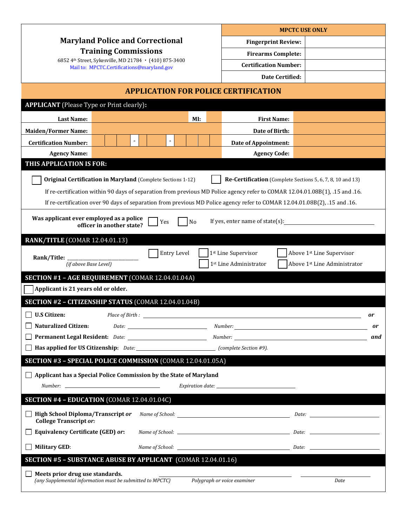|                                                                                                                              |                                                                                                      |     |                |                              | <b>MPCTC USE ONLY</b>                                      |                              |    |  |
|------------------------------------------------------------------------------------------------------------------------------|------------------------------------------------------------------------------------------------------|-----|----------------|------------------------------|------------------------------------------------------------|------------------------------|----|--|
| <b>Maryland Police and Correctional</b>                                                                                      |                                                                                                      |     |                |                              | <b>Fingerprint Review:</b>                                 |                              |    |  |
| <b>Training Commissions</b>                                                                                                  |                                                                                                      |     |                |                              | <b>Firearms Complete:</b>                                  |                              |    |  |
| 6852 4th Street, Sykesville, MD 21784 · (410) 875-3400<br>Mail to: MPCTC.Certifications@maryland.gov                         |                                                                                                      |     |                | <b>Certification Number:</b> |                                                            |                              |    |  |
|                                                                                                                              |                                                                                                      |     |                | Date Certified:              |                                                            |                              |    |  |
| <b>APPLICATION FOR POLICE CERTIFICATION</b>                                                                                  |                                                                                                      |     |                |                              |                                                            |                              |    |  |
| <b>APPLICANT</b> (Please Type or Print clearly):                                                                             |                                                                                                      |     |                |                              |                                                            |                              |    |  |
| <b>Last Name:</b>                                                                                                            |                                                                                                      |     | MI:            |                              | <b>First Name:</b>                                         |                              |    |  |
| <b>Maiden/Former Name:</b>                                                                                                   |                                                                                                      |     |                |                              | Date of Birth:                                             |                              |    |  |
| <b>Certification Number:</b>                                                                                                 | $\blacksquare$                                                                                       |     |                |                              | <b>Date of Appointment:</b>                                |                              |    |  |
| <b>Agency Name:</b>                                                                                                          |                                                                                                      |     |                |                              | <b>Agency Code:</b>                                        |                              |    |  |
| THIS APPLICATION IS FOR:                                                                                                     |                                                                                                      |     |                |                              |                                                            |                              |    |  |
| <b>Original Certification in Maryland (Complete Sections 1-12)</b>                                                           |                                                                                                      |     |                |                              | Re-Certification (Complete Sections 5, 6, 7, 8, 10 and 13) |                              |    |  |
| If re-certification within 90 days of separation from previous MD Police agency refer to COMAR 12.04.01.08B(1), .15 and .16. |                                                                                                      |     |                |                              |                                                            |                              |    |  |
| If re-certification over 90 days of separation from previous MD Police agency refer to COMAR 12.04.01.08B(2), .15 and .16.   |                                                                                                      |     |                |                              |                                                            |                              |    |  |
| Was applicant ever employed as a police                                                                                      |                                                                                                      |     |                |                              |                                                            |                              |    |  |
|                                                                                                                              | officer in another state?                                                                            | Yes | N <sub>o</sub> |                              | If yes, enter name of state(s):                            |                              |    |  |
| <b>RANK/TITLE (COMAR 12.04.01.13)</b>                                                                                        |                                                                                                      |     |                |                              |                                                            |                              |    |  |
| Rank/Title:                                                                                                                  |                                                                                                      |     | Entry Level    |                              | 1st Line Supervisor                                        | Above 1st Line Supervisor    |    |  |
| (if above Base Level)                                                                                                        |                                                                                                      |     |                |                              | 1st Line Administrator                                     | Above 1st Line Administrator |    |  |
| SECTION #1 - AGE REQUIREMENT (COMAR 12.04.01.04A)                                                                            |                                                                                                      |     |                |                              |                                                            |                              |    |  |
| Applicant is 21 years old or older.                                                                                          |                                                                                                      |     |                |                              |                                                            |                              |    |  |
| SECTION #2 - CITIZENSHIP STATUS (COMAR 12.04.01.04B)                                                                         |                                                                                                      |     |                |                              |                                                            |                              |    |  |
| <b>U.S Citizen:</b>                                                                                                          | Place of Birth :                                                                                     |     |                |                              |                                                            |                              | or |  |
| <b>Naturalized Citizen:</b>                                                                                                  |                                                                                                      |     |                |                              |                                                            | or                           |    |  |
|                                                                                                                              |                                                                                                      |     |                |                              |                                                            | and                          |    |  |
|                                                                                                                              | <b>If the applied for US Citizenship:</b> Date: $\frac{1}{2}$ <b>CODE 10.</b> (complete Section #9). |     |                |                              |                                                            |                              |    |  |
| SECTION #3 - SPECIAL POLICE COMMISSION (COMAR 12.04.01.05A)                                                                  |                                                                                                      |     |                |                              |                                                            |                              |    |  |
| $\Box$ Applicant has a Special Police Commission by the State of Maryland                                                    |                                                                                                      |     |                |                              |                                                            |                              |    |  |
|                                                                                                                              |                                                                                                      |     |                |                              |                                                            |                              |    |  |
| SECTION #4 - EDUCATION (COMAR 12.04.01.04C)                                                                                  |                                                                                                      |     |                |                              |                                                            |                              |    |  |
| $\Box$ High School Diploma/Transcript or<br><b>College Transcript or:</b>                                                    |                                                                                                      |     |                |                              |                                                            | Date:                        |    |  |
| <b>Equivalency Certificate (GED) or:</b>                                                                                     |                                                                                                      |     |                |                              |                                                            |                              |    |  |
| $\Box$ Military GED:                                                                                                         |                                                                                                      |     |                |                              |                                                            |                              |    |  |
| SECTION #5 - SUBSTANCE ABUSE BY APPLICANT (COMAR 12.04.01.16)                                                                |                                                                                                      |     |                |                              |                                                            |                              |    |  |
| Meets prior drug use standards.<br>(any Supplemental information must be submitted to MPCTC)                                 |                                                                                                      |     |                |                              | Polygraph or voice examiner                                | Date                         |    |  |